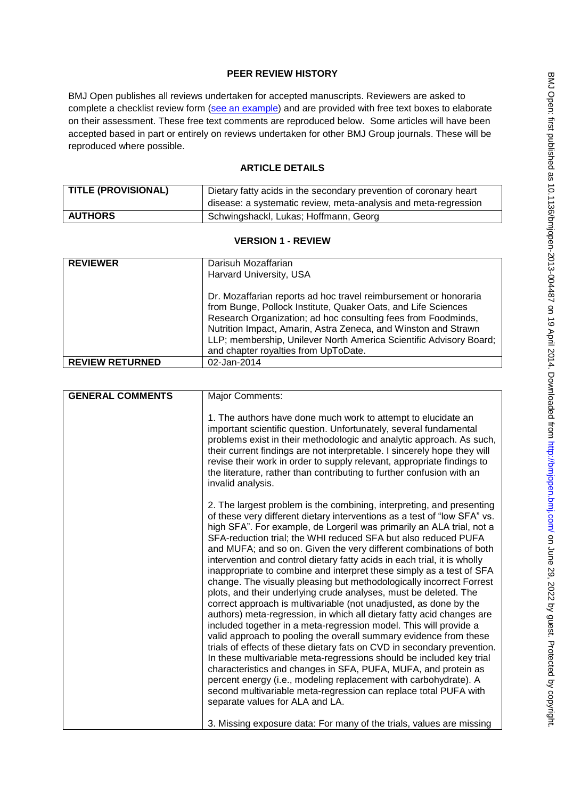# **PEER REVIEW HISTORY**

BMJ Open publishes all reviews undertaken for accepted manuscripts. Reviewers are asked to complete a checklist review form [\(see an example\)](http://bmjopen.bmj.com/site/about/resources/ScholarOne_Manuscripts.pdf) and are provided with free text boxes to elaborate on their assessment. These free text comments are reproduced below. Some articles will have been accepted based in part or entirely on reviews undertaken for other BMJ Group journals. These will be reproduced where possible.

# **ARTICLE DETAILS**

| <b>TITLE (PROVISIONAL)</b> | Dietary fatty acids in the secondary prevention of coronary heart<br>disease: a systematic review, meta-analysis and meta-regression |
|----------------------------|--------------------------------------------------------------------------------------------------------------------------------------|
| AUTHORS                    | Schwingshackl, Lukas; Hoffmann, Georg                                                                                                |

### **VERSION 1 - REVIEW**

| Darisuh Mozaffarian                                                                                                                                                                                                                                                                                                                        |
|--------------------------------------------------------------------------------------------------------------------------------------------------------------------------------------------------------------------------------------------------------------------------------------------------------------------------------------------|
| Harvard University, USA                                                                                                                                                                                                                                                                                                                    |
| Dr. Mozaffarian reports ad hoc travel reimbursement or honoraria<br>from Bunge, Pollock Institute, Quaker Oats, and Life Sciences<br>Research Organization; ad hoc consulting fees from Foodminds,<br>Nutrition Impact, Amarin, Astra Zeneca, and Winston and Strawn<br>LLP; membership, Unilever North America Scientific Advisory Board; |
| and chapter royalties from UpToDate.                                                                                                                                                                                                                                                                                                       |
| 02-Jan-2014                                                                                                                                                                                                                                                                                                                                |
|                                                                                                                                                                                                                                                                                                                                            |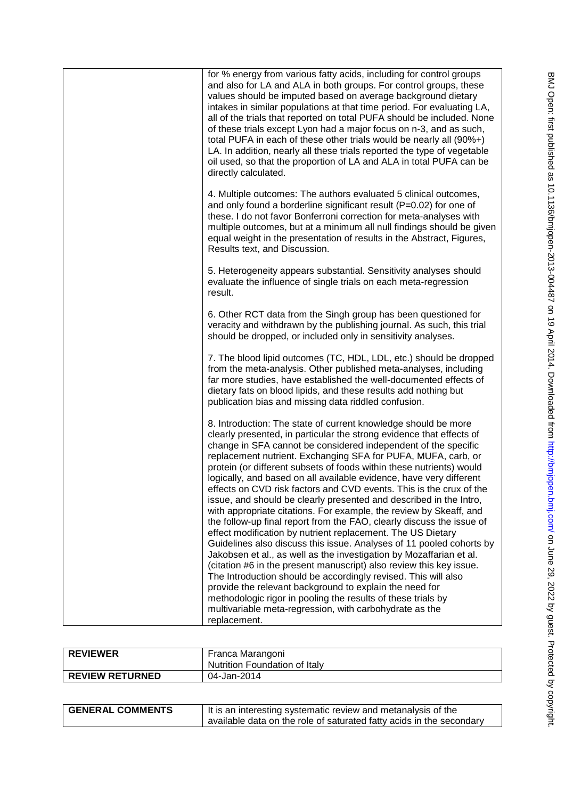| for % energy from various fatty acids, including for control groups<br>and also for LA and ALA in both groups. For control groups, these<br>values should be imputed based on average background dietary<br>intakes in similar populations at that time period. For evaluating LA,<br>all of the trials that reported on total PUFA should be included. None<br>of these trials except Lyon had a major focus on n-3, and as such,<br>total PUFA in each of these other trials would be nearly all (90%+)<br>LA. In addition, nearly all these trials reported the type of vegetable<br>oil used, so that the proportion of LA and ALA in total PUFA can be<br>directly calculated.                                                                                                                                                                                                                                                                                                                                                                                                                                                                                                                                                                                               |
|-----------------------------------------------------------------------------------------------------------------------------------------------------------------------------------------------------------------------------------------------------------------------------------------------------------------------------------------------------------------------------------------------------------------------------------------------------------------------------------------------------------------------------------------------------------------------------------------------------------------------------------------------------------------------------------------------------------------------------------------------------------------------------------------------------------------------------------------------------------------------------------------------------------------------------------------------------------------------------------------------------------------------------------------------------------------------------------------------------------------------------------------------------------------------------------------------------------------------------------------------------------------------------------|
| 4. Multiple outcomes: The authors evaluated 5 clinical outcomes,<br>and only found a borderline significant result (P=0.02) for one of<br>these. I do not favor Bonferroni correction for meta-analyses with<br>multiple outcomes, but at a minimum all null findings should be given<br>equal weight in the presentation of results in the Abstract, Figures,<br>Results text, and Discussion.                                                                                                                                                                                                                                                                                                                                                                                                                                                                                                                                                                                                                                                                                                                                                                                                                                                                                   |
| 5. Heterogeneity appears substantial. Sensitivity analyses should<br>evaluate the influence of single trials on each meta-regression<br>result.                                                                                                                                                                                                                                                                                                                                                                                                                                                                                                                                                                                                                                                                                                                                                                                                                                                                                                                                                                                                                                                                                                                                   |
| 6. Other RCT data from the Singh group has been questioned for<br>veracity and withdrawn by the publishing journal. As such, this trial<br>should be dropped, or included only in sensitivity analyses.                                                                                                                                                                                                                                                                                                                                                                                                                                                                                                                                                                                                                                                                                                                                                                                                                                                                                                                                                                                                                                                                           |
| 7. The blood lipid outcomes (TC, HDL, LDL, etc.) should be dropped<br>from the meta-analysis. Other published meta-analyses, including<br>far more studies, have established the well-documented effects of<br>dietary fats on blood lipids, and these results add nothing but<br>publication bias and missing data riddled confusion.                                                                                                                                                                                                                                                                                                                                                                                                                                                                                                                                                                                                                                                                                                                                                                                                                                                                                                                                            |
| 8. Introduction: The state of current knowledge should be more<br>clearly presented, in particular the strong evidence that effects of<br>change in SFA cannot be considered independent of the specific<br>replacement nutrient. Exchanging SFA for PUFA, MUFA, carb, or<br>protein (or different subsets of foods within these nutrients) would<br>logically, and based on all available evidence, have very different<br>effects on CVD risk factors and CVD events. This is the crux of the<br>issue, and should be clearly presented and described in the Intro,<br>with appropriate citations. For example, the review by Skeaff, and<br>the follow-up final report from the FAO, clearly discuss the issue of<br>effect modification by nutrient replacement. The US Dietary<br>Guidelines also discuss this issue. Analyses of 11 pooled cohorts by<br>Jakobsen et al., as well as the investigation by Mozaffarian et al.<br>(citation #6 in the present manuscript) also review this key issue.<br>The Introduction should be accordingly revised. This will also<br>provide the relevant background to explain the need for<br>methodologic rigor in pooling the results of these trials by<br>multivariable meta-regression, with carbohydrate as the<br>replacement. |
|                                                                                                                                                                                                                                                                                                                                                                                                                                                                                                                                                                                                                                                                                                                                                                                                                                                                                                                                                                                                                                                                                                                                                                                                                                                                                   |

| <b>REVIEWER</b>        | Franca Marangoni<br>Nutrition Foundation of Italy |
|------------------------|---------------------------------------------------|
| <b>REVIEW RETURNED</b> | 04-Jan-2014                                       |
|                        |                                                   |

| <b>GENERAL COMMENTS</b> | It is an interesting systematic review and metanalysis of the        |
|-------------------------|----------------------------------------------------------------------|
|                         | available data on the role of saturated fatty acids in the secondary |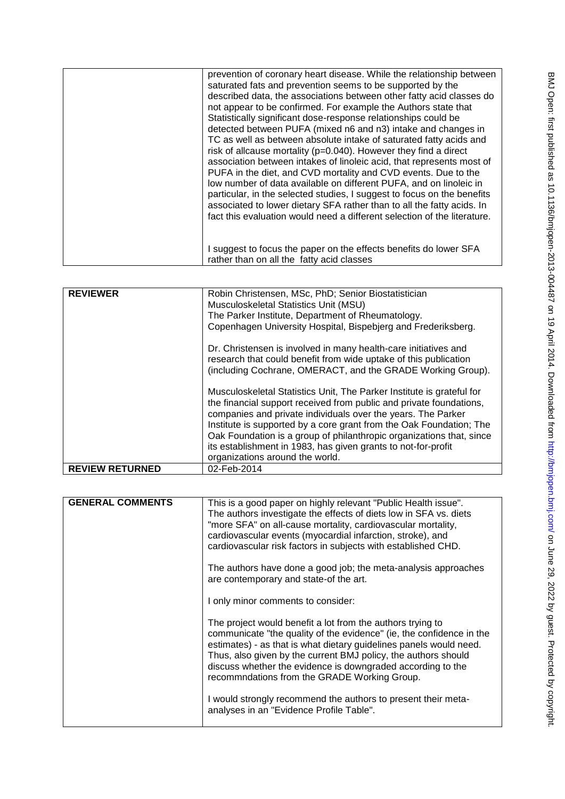| prevention of coronary heart disease. While the relationship between<br>saturated fats and prevention seems to be supported by the<br>described data, the associations between other fatty acid classes do<br>not appear to be confirmed. For example the Authors state that<br>Statistically significant dose-response relationships could be<br>detected between PUFA (mixed n6 and n3) intake and changes in<br>TC as well as between absolute intake of saturated fatty acids and<br>risk of allcause mortality (p=0.040). However they find a direct<br>association between intakes of linoleic acid, that represents most of<br>PUFA in the diet, and CVD mortality and CVD events. Due to the<br>low number of data available on different PUFA, and on linoleic in<br>particular, in the selected studies, I suggest to focus on the benefits<br>associated to lower dietary SFA rather than to all the fatty acids. In<br>fact this evaluation would need a different selection of the literature. |
|-------------------------------------------------------------------------------------------------------------------------------------------------------------------------------------------------------------------------------------------------------------------------------------------------------------------------------------------------------------------------------------------------------------------------------------------------------------------------------------------------------------------------------------------------------------------------------------------------------------------------------------------------------------------------------------------------------------------------------------------------------------------------------------------------------------------------------------------------------------------------------------------------------------------------------------------------------------------------------------------------------------|
| I suggest to focus the paper on the effects benefits do lower SFA<br>rather than on all the fatty acid classes                                                                                                                                                                                                                                                                                                                                                                                                                                                                                                                                                                                                                                                                                                                                                                                                                                                                                              |

| <b>REVIEWER</b>        | Robin Christensen, MSc, PhD; Senior Biostatistician                   |
|------------------------|-----------------------------------------------------------------------|
|                        | Musculoskeletal Statistics Unit (MSU)                                 |
|                        | The Parker Institute, Department of Rheumatology.                     |
|                        | Copenhagen University Hospital, Bispebjerg and Frederiksberg.         |
|                        |                                                                       |
|                        | Dr. Christensen is involved in many health-care initiatives and       |
|                        | research that could benefit from wide uptake of this publication      |
|                        | (including Cochrane, OMERACT, and the GRADE Working Group).           |
|                        |                                                                       |
|                        | Musculoskeletal Statistics Unit, The Parker Institute is grateful for |
|                        | the financial support received from public and private foundations,   |
|                        | companies and private individuals over the years. The Parker          |
|                        | Institute is supported by a core grant from the Oak Foundation; The   |
|                        |                                                                       |
|                        | Oak Foundation is a group of philanthropic organizations that, since  |
|                        | its establishment in 1983, has given grants to not-for-profit         |
|                        | organizations around the world.                                       |
| <b>REVIEW RETURNED</b> | 02-Feb-2014                                                           |

| <b>GENERAL COMMENTS</b> | This is a good paper on highly relevant "Public Health issue".<br>The authors investigate the effects of diets low in SFA vs. diets<br>"more SFA" on all-cause mortality, cardiovascular mortality,<br>cardiovascular events (myocardial infarction, stroke), and<br>cardiovascular risk factors in subjects with established CHD.                                                        |
|-------------------------|-------------------------------------------------------------------------------------------------------------------------------------------------------------------------------------------------------------------------------------------------------------------------------------------------------------------------------------------------------------------------------------------|
|                         | The authors have done a good job; the meta-analysis approaches<br>are contemporary and state-of the art.                                                                                                                                                                                                                                                                                  |
|                         | I only minor comments to consider:                                                                                                                                                                                                                                                                                                                                                        |
|                         | The project would benefit a lot from the authors trying to<br>communicate "the quality of the evidence" (ie, the confidence in the<br>estimates) - as that is what dietary guidelines panels would need.<br>Thus, also given by the current BMJ policy, the authors should<br>discuss whether the evidence is downgraded according to the<br>recommndations from the GRADE Working Group. |
|                         | I would strongly recommend the authors to present their meta-<br>analyses in an "Evidence Profile Table".                                                                                                                                                                                                                                                                                 |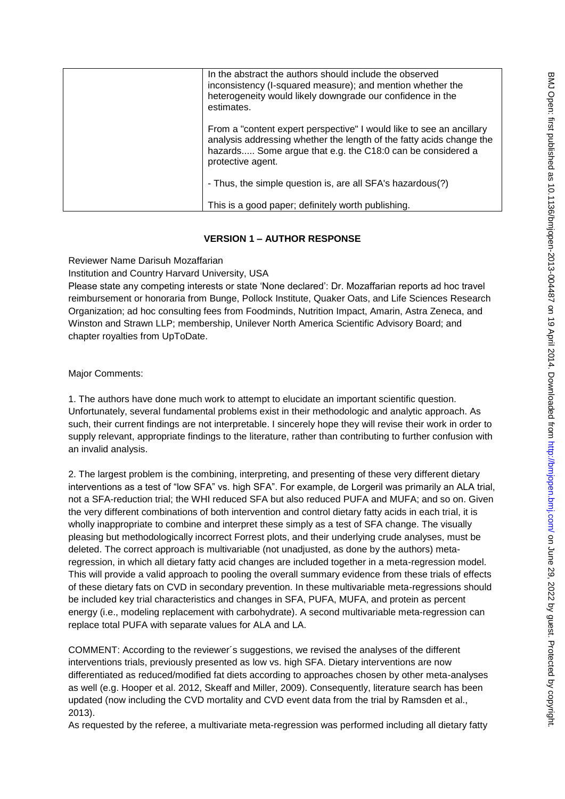| ļ                                                                                                              |
|----------------------------------------------------------------------------------------------------------------|
|                                                                                                                |
|                                                                                                                |
|                                                                                                                |
|                                                                                                                |
|                                                                                                                |
|                                                                                                                |
| . ^ トニ:ヘトンフィス ファフ イ                                                                                            |
| 2                                                                                                              |
|                                                                                                                |
|                                                                                                                |
|                                                                                                                |
|                                                                                                                |
|                                                                                                                |
|                                                                                                                |
|                                                                                                                |
|                                                                                                                |
|                                                                                                                |
|                                                                                                                |
|                                                                                                                |
| <b>1175デジジリン コロコ コココロム ココココ アミニココユニコ</b>                                                                       |
| בווטרו המספטוואסט וואר בין היא ווילד בסירה לאור בסירה האוריה היה ויה בין האוריה האוריה היה האוריה האוריה האורי |
|                                                                                                                |
|                                                                                                                |
|                                                                                                                |
|                                                                                                                |
|                                                                                                                |
| יי אינווראינוראל וויא                                                                                          |
|                                                                                                                |
|                                                                                                                |
|                                                                                                                |
|                                                                                                                |
|                                                                                                                |
| in air ann an an an an an an an an an a                                                                        |
|                                                                                                                |
|                                                                                                                |
|                                                                                                                |
|                                                                                                                |
|                                                                                                                |
|                                                                                                                |
|                                                                                                                |
|                                                                                                                |
|                                                                                                                |
|                                                                                                                |
|                                                                                                                |
|                                                                                                                |

 $\blacksquare$ 

| In the abstract the authors should include the observed<br>inconsistency (I-squared measure); and mention whether the<br>heterogeneity would likely downgrade our confidence in the<br>estimates.                               |
|---------------------------------------------------------------------------------------------------------------------------------------------------------------------------------------------------------------------------------|
| From a "content expert perspective" I would like to see an ancillary<br>analysis addressing whether the length of the fatty acids change the<br>hazards Some argue that e.g. the C18:0 can be considered a<br>protective agent. |
| - Thus, the simple question is, are all SFA's hazardous(?)                                                                                                                                                                      |
| This is a good paper; definitely worth publishing.                                                                                                                                                                              |

# **VERSION 1 – AUTHOR RESPONSE**

Reviewer Name Darisuh Mozaffarian

Institution and Country Harvard University, USA

Please state any competing interests or state "None declared": Dr. Mozaffarian reports ad hoc travel reimbursement or honoraria from Bunge, Pollock Institute, Quaker Oats, and Life Sciences Research Organization; ad hoc consulting fees from Foodminds, Nutrition Impact, Amarin, Astra Zeneca, and Winston and Strawn LLP; membership, Unilever North America Scientific Advisory Board; and chapter royalties from UpToDate.

Major Comments:

1. The authors have done much work to attempt to elucidate an important scientific question. Unfortunately, several fundamental problems exist in their methodologic and analytic approach. As such, their current findings are not interpretable. I sincerely hope they will revise their work in order to supply relevant, appropriate findings to the literature, rather than contributing to further confusion with an invalid analysis.

2. The largest problem is the combining, interpreting, and presenting of these very different dietary interventions as a test of "low SFA" vs. high SFA". For example, de Lorgeril was primarily an ALA trial, not a SFA-reduction trial; the WHI reduced SFA but also reduced PUFA and MUFA; and so on. Given the very different combinations of both intervention and control dietary fatty acids in each trial, it is wholly inappropriate to combine and interpret these simply as a test of SFA change. The visually pleasing but methodologically incorrect Forrest plots, and their underlying crude analyses, must be deleted. The correct approach is multivariable (not unadjusted, as done by the authors) metaregression, in which all dietary fatty acid changes are included together in a meta-regression model. This will provide a valid approach to pooling the overall summary evidence from these trials of effects of these dietary fats on CVD in secondary prevention. In these multivariable meta-regressions should be included key trial characteristics and changes in SFA, PUFA, MUFA, and protein as percent energy (i.e., modeling replacement with carbohydrate). A second multivariable meta-regression can replace total PUFA with separate values for ALA and LA.

COMMENT: According to the reviewer´s suggestions, we revised the analyses of the different interventions trials, previously presented as low vs. high SFA. Dietary interventions are now differentiated as reduced/modified fat diets according to approaches chosen by other meta-analyses as well (e.g. Hooper et al. 2012, Skeaff and Miller, 2009). Consequently, literature search has been updated (now including the CVD mortality and CVD event data from the trial by Ramsden et al., 2013).

As requested by the referee, a multivariate meta-regression was performed including all dietary fatty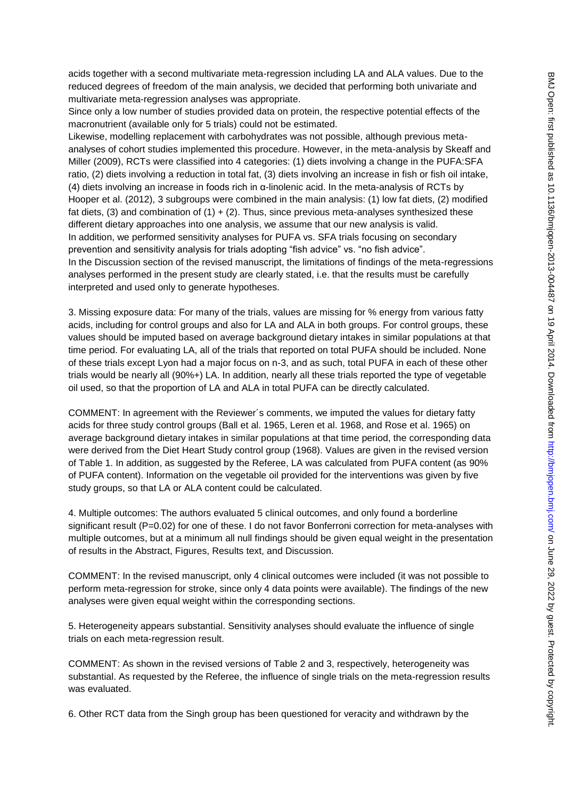acids together with a second multivariate meta-regression including LA and ALA values. Due to the reduced degrees of freedom of the main analysis, we decided that performing both univariate and multivariate meta-regression analyses was appropriate.

Since only a low number of studies provided data on protein, the respective potential effects of the macronutrient (available only for 5 trials) could not be estimated.

Likewise, modelling replacement with carbohydrates was not possible, although previous metaanalyses of cohort studies implemented this procedure. However, in the meta-analysis by Skeaff and Miller (2009), RCTs were classified into 4 categories: (1) diets involving a change in the PUFA:SFA ratio, (2) diets involving a reduction in total fat, (3) diets involving an increase in fish or fish oil intake, (4) diets involving an increase in foods rich in α-linolenic acid. In the meta-analysis of RCTs by Hooper et al. (2012), 3 subgroups were combined in the main analysis: (1) low fat diets, (2) modified fat diets, (3) and combination of (1)  $+$  (2). Thus, since previous meta-analyses synthesized these different dietary approaches into one analysis, we assume that our new analysis is valid. In addition, we performed sensitivity analyses for PUFA vs. SFA trials focusing on secondary prevention and sensitivity analysis for trials adopting "fish advice" vs. "no fish advice". In the Discussion section of the revised manuscript, the limitations of findings of the meta-regressions analyses performed in the present study are clearly stated, i.e. that the results must be carefully interpreted and used only to generate hypotheses.

3. Missing exposure data: For many of the trials, values are missing for % energy from various fatty acids, including for control groups and also for LA and ALA in both groups. For control groups, these values should be imputed based on average background dietary intakes in similar populations at that time period. For evaluating LA, all of the trials that reported on total PUFA should be included. None of these trials except Lyon had a major focus on n-3, and as such, total PUFA in each of these other trials would be nearly all (90%+) LA. In addition, nearly all these trials reported the type of vegetable oil used, so that the proportion of LA and ALA in total PUFA can be directly calculated.

COMMENT: In agreement with the Reviewer´s comments, we imputed the values for dietary fatty acids for three study control groups (Ball et al. 1965, Leren et al. 1968, and Rose et al. 1965) on average background dietary intakes in similar populations at that time period, the corresponding data were derived from the Diet Heart Study control group (1968). Values are given in the revised version of Table 1. In addition, as suggested by the Referee, LA was calculated from PUFA content (as 90% of PUFA content). Information on the vegetable oil provided for the interventions was given by five study groups, so that LA or ALA content could be calculated.

4. Multiple outcomes: The authors evaluated 5 clinical outcomes, and only found a borderline significant result (P=0.02) for one of these. I do not favor Bonferroni correction for meta-analyses with multiple outcomes, but at a minimum all null findings should be given equal weight in the presentation of results in the Abstract, Figures, Results text, and Discussion.

COMMENT: In the revised manuscript, only 4 clinical outcomes were included (it was not possible to perform meta-regression for stroke, since only 4 data points were available). The findings of the new analyses were given equal weight within the corresponding sections.

5. Heterogeneity appears substantial. Sensitivity analyses should evaluate the influence of single trials on each meta-regression result.

COMMENT: As shown in the revised versions of Table 2 and 3, respectively, heterogeneity was substantial. As requested by the Referee, the influence of single trials on the meta-regression results was evaluated.

6. Other RCT data from the Singh group has been questioned for veracity and withdrawn by the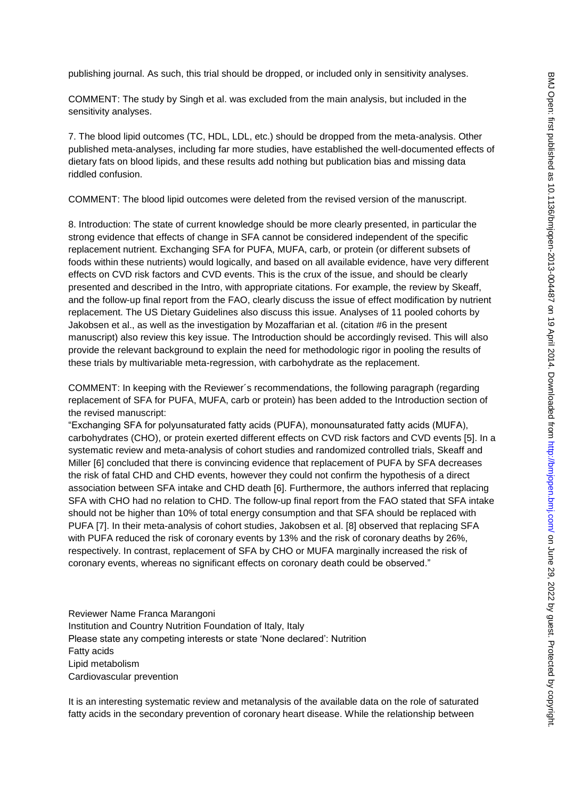publishing journal. As such, this trial should be dropped, or included only in sensitivity analyses.

COMMENT: The study by Singh et al. was excluded from the main analysis, but included in the sensitivity analyses.

7. The blood lipid outcomes (TC, HDL, LDL, etc.) should be dropped from the meta-analysis. Other published meta-analyses, including far more studies, have established the well-documented effects of dietary fats on blood lipids, and these results add nothing but publication bias and missing data riddled confusion.

COMMENT: The blood lipid outcomes were deleted from the revised version of the manuscript.

8. Introduction: The state of current knowledge should be more clearly presented, in particular the strong evidence that effects of change in SFA cannot be considered independent of the specific replacement nutrient. Exchanging SFA for PUFA, MUFA, carb, or protein (or different subsets of foods within these nutrients) would logically, and based on all available evidence, have very different effects on CVD risk factors and CVD events. This is the crux of the issue, and should be clearly presented and described in the Intro, with appropriate citations. For example, the review by Skeaff, and the follow-up final report from the FAO, clearly discuss the issue of effect modification by nutrient replacement. The US Dietary Guidelines also discuss this issue. Analyses of 11 pooled cohorts by Jakobsen et al., as well as the investigation by Mozaffarian et al. (citation #6 in the present manuscript) also review this key issue. The Introduction should be accordingly revised. This will also provide the relevant background to explain the need for methodologic rigor in pooling the results of these trials by multivariable meta-regression, with carbohydrate as the replacement.

COMMENT: In keeping with the Reviewer´s recommendations, the following paragraph (regarding replacement of SFA for PUFA, MUFA, carb or protein) has been added to the Introduction section of the revised manuscript:

"Exchanging SFA for polyunsaturated fatty acids (PUFA), monounsaturated fatty acids (MUFA), carbohydrates (CHO), or protein exerted different effects on CVD risk factors and CVD events [5]. In a systematic review and meta-analysis of cohort studies and randomized controlled trials, Skeaff and Miller [6] concluded that there is convincing evidence that replacement of PUFA by SFA decreases the risk of fatal CHD and CHD events, however they could not confirm the hypothesis of a direct association between SFA intake and CHD death [6]. Furthermore, the authors inferred that replacing SFA with CHO had no relation to CHD. The follow-up final report from the FAO stated that SFA intake should not be higher than 10% of total energy consumption and that SFA should be replaced with PUFA [7]. In their meta-analysis of cohort studies, Jakobsen et al. [8] observed that replacing SFA with PUFA reduced the risk of coronary events by 13% and the risk of coronary deaths by 26%, respectively. In contrast, replacement of SFA by CHO or MUFA marginally increased the risk of coronary events, whereas no significant effects on coronary death could be observed."

Reviewer Name Franca Marangoni Institution and Country Nutrition Foundation of Italy, Italy Please state any competing interests or state "None declared": Nutrition Fatty acids Lipid metabolism Cardiovascular prevention

It is an interesting systematic review and metanalysis of the available data on the role of saturated fatty acids in the secondary prevention of coronary heart disease. While the relationship between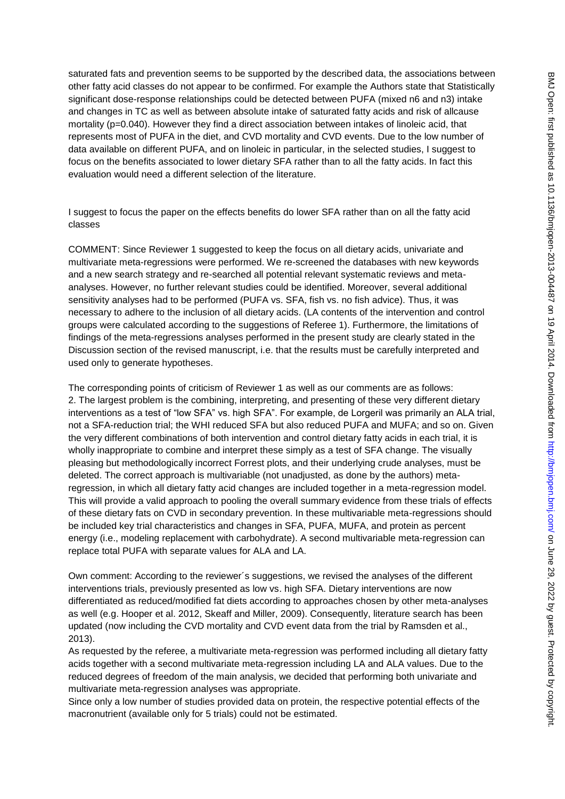saturated fats and prevention seems to be supported by the described data, the associations between other fatty acid classes do not appear to be confirmed. For example the Authors state that Statistically significant dose-response relationships could be detected between PUFA (mixed n6 and n3) intake and changes in TC as well as between absolute intake of saturated fatty acids and risk of allcause mortality (p=0.040). However they find a direct association between intakes of linoleic acid, that represents most of PUFA in the diet, and CVD mortality and CVD events. Due to the low number of data available on different PUFA, and on linoleic in particular, in the selected studies, I suggest to focus on the benefits associated to lower dietary SFA rather than to all the fatty acids. In fact this evaluation would need a different selection of the literature.

I suggest to focus the paper on the effects benefits do lower SFA rather than on all the fatty acid classes

COMMENT: Since Reviewer 1 suggested to keep the focus on all dietary acids, univariate and multivariate meta-regressions were performed. We re-screened the databases with new keywords and a new search strategy and re-searched all potential relevant systematic reviews and metaanalyses. However, no further relevant studies could be identified. Moreover, several additional sensitivity analyses had to be performed (PUFA vs. SFA, fish vs. no fish advice). Thus, it was necessary to adhere to the inclusion of all dietary acids. (LA contents of the intervention and control groups were calculated according to the suggestions of Referee 1). Furthermore, the limitations of findings of the meta-regressions analyses performed in the present study are clearly stated in the Discussion section of the revised manuscript, i.e. that the results must be carefully interpreted and used only to generate hypotheses.

The corresponding points of criticism of Reviewer 1 as well as our comments are as follows: 2. The largest problem is the combining, interpreting, and presenting of these very different dietary interventions as a test of "low SFA" vs. high SFA". For example, de Lorgeril was primarily an ALA trial, not a SFA-reduction trial; the WHI reduced SFA but also reduced PUFA and MUFA; and so on. Given the very different combinations of both intervention and control dietary fatty acids in each trial, it is wholly inappropriate to combine and interpret these simply as a test of SFA change. The visually pleasing but methodologically incorrect Forrest plots, and their underlying crude analyses, must be deleted. The correct approach is multivariable (not unadjusted, as done by the authors) metaregression, in which all dietary fatty acid changes are included together in a meta-regression model. This will provide a valid approach to pooling the overall summary evidence from these trials of effects of these dietary fats on CVD in secondary prevention. In these multivariable meta-regressions should be included key trial characteristics and changes in SFA, PUFA, MUFA, and protein as percent energy (i.e., modeling replacement with carbohydrate). A second multivariable meta-regression can replace total PUFA with separate values for ALA and LA.

Own comment: According to the reviewer´s suggestions, we revised the analyses of the different interventions trials, previously presented as low vs. high SFA. Dietary interventions are now differentiated as reduced/modified fat diets according to approaches chosen by other meta-analyses as well (e.g. Hooper et al. 2012, Skeaff and Miller, 2009). Consequently, literature search has been updated (now including the CVD mortality and CVD event data from the trial by Ramsden et al., 2013).

As requested by the referee, a multivariate meta-regression was performed including all dietary fatty acids together with a second multivariate meta-regression including LA and ALA values. Due to the reduced degrees of freedom of the main analysis, we decided that performing both univariate and multivariate meta-regression analyses was appropriate.

Since only a low number of studies provided data on protein, the respective potential effects of the macronutrient (available only for 5 trials) could not be estimated.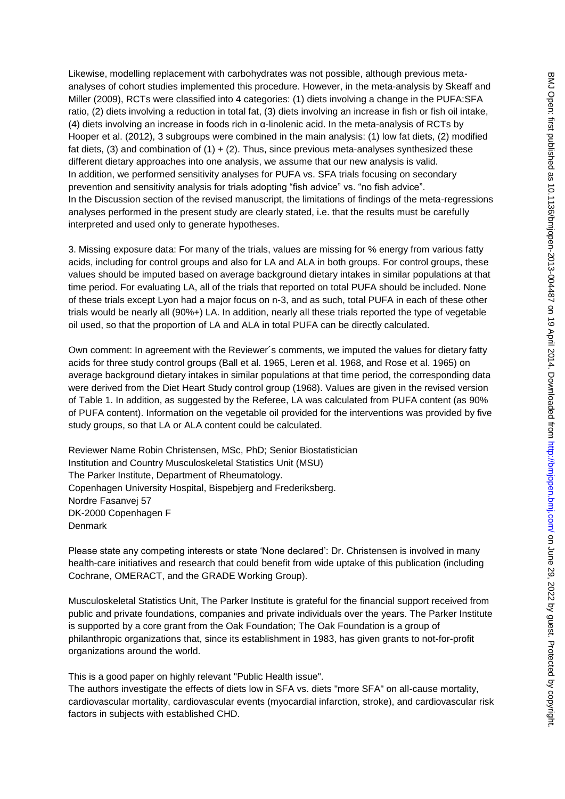Likewise, modelling replacement with carbohydrates was not possible, although previous metaanalyses of cohort studies implemented this procedure. However, in the meta-analysis by Skeaff and Miller (2009), RCTs were classified into 4 categories: (1) diets involving a change in the PUFA:SFA ratio, (2) diets involving a reduction in total fat, (3) diets involving an increase in fish or fish oil intake, (4) diets involving an increase in foods rich in α-linolenic acid. In the meta-analysis of RCTs by Hooper et al. (2012), 3 subgroups were combined in the main analysis: (1) low fat diets, (2) modified fat diets, (3) and combination of  $(1) + (2)$ . Thus, since previous meta-analyses synthesized these different dietary approaches into one analysis, we assume that our new analysis is valid. In addition, we performed sensitivity analyses for PUFA vs. SFA trials focusing on secondary prevention and sensitivity analysis for trials adopting "fish advice" vs. "no fish advice". In the Discussion section of the revised manuscript, the limitations of findings of the meta-regressions analyses performed in the present study are clearly stated, i.e. that the results must be carefully interpreted and used only to generate hypotheses.

3. Missing exposure data: For many of the trials, values are missing for % energy from various fatty acids, including for control groups and also for LA and ALA in both groups. For control groups, these values should be imputed based on average background dietary intakes in similar populations at that time period. For evaluating LA, all of the trials that reported on total PUFA should be included. None of these trials except Lyon had a major focus on n-3, and as such, total PUFA in each of these other trials would be nearly all (90%+) LA. In addition, nearly all these trials reported the type of vegetable oil used, so that the proportion of LA and ALA in total PUFA can be directly calculated.

Own comment: In agreement with the Reviewer´s comments, we imputed the values for dietary fatty acids for three study control groups (Ball et al. 1965, Leren et al. 1968, and Rose et al. 1965) on average background dietary intakes in similar populations at that time period, the corresponding data were derived from the Diet Heart Study control group (1968). Values are given in the revised version of Table 1. In addition, as suggested by the Referee, LA was calculated from PUFA content (as 90% of PUFA content). Information on the vegetable oil provided for the interventions was provided by five study groups, so that LA or ALA content could be calculated.

Reviewer Name Robin Christensen, MSc, PhD; Senior Biostatistician Institution and Country Musculoskeletal Statistics Unit (MSU) The Parker Institute, Department of Rheumatology. Copenhagen University Hospital, Bispebjerg and Frederiksberg. Nordre Fasanvej 57 DK-2000 Copenhagen F Denmark

Please state any competing interests or state "None declared": Dr. Christensen is involved in many health-care initiatives and research that could benefit from wide uptake of this publication (including Cochrane, OMERACT, and the GRADE Working Group).

Musculoskeletal Statistics Unit, The Parker Institute is grateful for the financial support received from public and private foundations, companies and private individuals over the years. The Parker Institute is supported by a core grant from the Oak Foundation; The Oak Foundation is a group of philanthropic organizations that, since its establishment in 1983, has given grants to not-for-profit organizations around the world.

This is a good paper on highly relevant "Public Health issue".

The authors investigate the effects of diets low in SFA vs. diets "more SFA" on all-cause mortality, cardiovascular mortality, cardiovascular events (myocardial infarction, stroke), and cardiovascular risk factors in subjects with established CHD.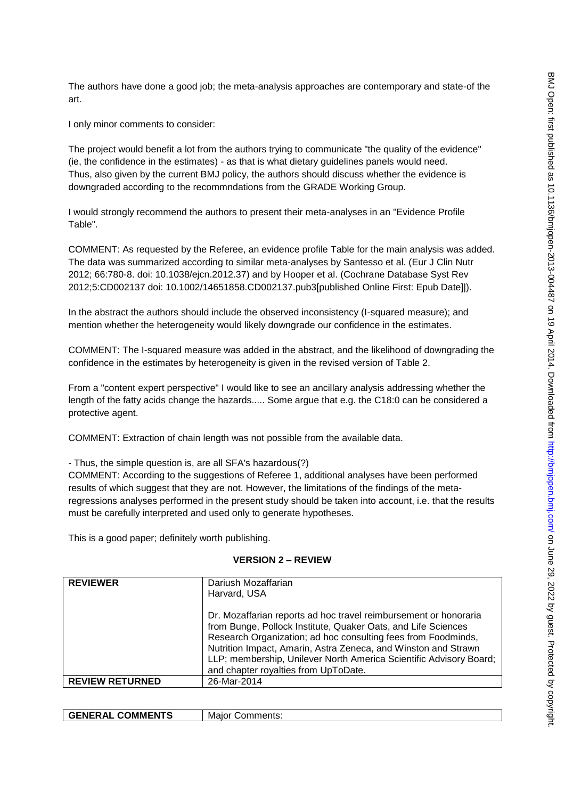The authors have done a good job; the meta-analysis approaches are contemporary and state-of the art.

I only minor comments to consider:

The project would benefit a lot from the authors trying to communicate "the quality of the evidence" (ie, the confidence in the estimates) - as that is what dietary guidelines panels would need. Thus, also given by the current BMJ policy, the authors should discuss whether the evidence is downgraded according to the recommndations from the GRADE Working Group.

I would strongly recommend the authors to present their meta-analyses in an "Evidence Profile Table".

COMMENT: As requested by the Referee, an evidence profile Table for the main analysis was added. The data was summarized according to similar meta-analyses by Santesso et al. (Eur J Clin Nutr 2012; 66:780-8. doi: 10.1038/ejcn.2012.37) and by Hooper et al. (Cochrane Database Syst Rev 2012;5:CD002137 doi: 10.1002/14651858.CD002137.pub3[published Online First: Epub Date]|).

In the abstract the authors should include the observed inconsistency (I-squared measure); and mention whether the heterogeneity would likely downgrade our confidence in the estimates.

COMMENT: The I-squared measure was added in the abstract, and the likelihood of downgrading the confidence in the estimates by heterogeneity is given in the revised version of Table 2.

From a "content expert perspective" I would like to see an ancillary analysis addressing whether the length of the fatty acids change the hazards..... Some argue that e.g. the C18:0 can be considered a protective agent.

COMMENT: Extraction of chain length was not possible from the available data.

- Thus, the simple question is, are all SFA's hazardous(?)

COMMENT: According to the suggestions of Referee 1, additional analyses have been performed results of which suggest that they are not. However, the limitations of the findings of the metaregressions analyses performed in the present study should be taken into account, i.e. that the results must be carefully interpreted and used only to generate hypotheses.

This is a good paper; definitely worth publishing.

## **VERSION 2 – REVIEW**

| <b>REVIEWER</b>        | Dariush Mozaffarian<br>Harvard, USA                                                                                                                                                                                                                                                                                                                                                |
|------------------------|------------------------------------------------------------------------------------------------------------------------------------------------------------------------------------------------------------------------------------------------------------------------------------------------------------------------------------------------------------------------------------|
|                        | Dr. Mozaffarian reports ad hoc travel reimbursement or honoraria<br>from Bunge, Pollock Institute, Quaker Oats, and Life Sciences<br>Research Organization; ad hoc consulting fees from Foodminds,<br>Nutrition Impact, Amarin, Astra Zeneca, and Winston and Strawn<br>LLP; membership, Unilever North America Scientific Advisory Board;<br>and chapter royalties from UpToDate. |
| <b>REVIEW RETURNED</b> | 26-Mar-2014                                                                                                                                                                                                                                                                                                                                                                        |

| <b>COMMENTS</b><br><b>GENERAI</b><br>∼⊾ | — M2!^″<br>mments.<br>$ -$<br>ا ( ) ر |
|-----------------------------------------|---------------------------------------|
|                                         |                                       |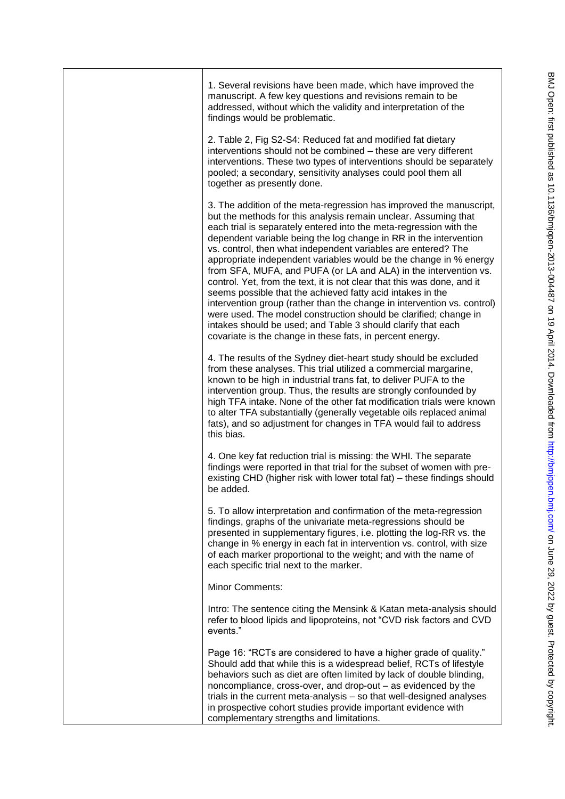| 1. Several revisions have been made, which have improved the<br>manuscript. A few key questions and revisions remain to be<br>addressed, without which the validity and interpretation of the<br>findings would be problematic.                                                                                                                                                                                                                                                                                                                                                                                                                                                                                                                                                                                                                                                                                  |
|------------------------------------------------------------------------------------------------------------------------------------------------------------------------------------------------------------------------------------------------------------------------------------------------------------------------------------------------------------------------------------------------------------------------------------------------------------------------------------------------------------------------------------------------------------------------------------------------------------------------------------------------------------------------------------------------------------------------------------------------------------------------------------------------------------------------------------------------------------------------------------------------------------------|
| 2. Table 2, Fig S2-S4: Reduced fat and modified fat dietary<br>interventions should not be combined - these are very different<br>interventions. These two types of interventions should be separately<br>pooled; a secondary, sensitivity analyses could pool them all<br>together as presently done.                                                                                                                                                                                                                                                                                                                                                                                                                                                                                                                                                                                                           |
| 3. The addition of the meta-regression has improved the manuscript,<br>but the methods for this analysis remain unclear. Assuming that<br>each trial is separately entered into the meta-regression with the<br>dependent variable being the log change in RR in the intervention<br>vs. control, then what independent variables are entered? The<br>appropriate independent variables would be the change in % energy<br>from SFA, MUFA, and PUFA (or LA and ALA) in the intervention vs.<br>control. Yet, from the text, it is not clear that this was done, and it<br>seems possible that the achieved fatty acid intakes in the<br>intervention group (rather than the change in intervention vs. control)<br>were used. The model construction should be clarified; change in<br>intakes should be used; and Table 3 should clarify that each<br>covariate is the change in these fats, in percent energy. |
| 4. The results of the Sydney diet-heart study should be excluded<br>from these analyses. This trial utilized a commercial margarine,<br>known to be high in industrial trans fat, to deliver PUFA to the<br>intervention group. Thus, the results are strongly confounded by<br>high TFA intake. None of the other fat modification trials were known<br>to alter TFA substantially (generally vegetable oils replaced animal<br>fats), and so adjustment for changes in TFA would fail to address<br>this bias.                                                                                                                                                                                                                                                                                                                                                                                                 |
| 4. One key fat reduction trial is missing: the WHI. The separate<br>findings were reported in that trial for the subset of women with pre-<br>existing CHD (higher risk with lower total fat) – these findings should<br>be added.                                                                                                                                                                                                                                                                                                                                                                                                                                                                                                                                                                                                                                                                               |
| 5. To allow interpretation and confirmation of the meta-regression<br>findings, graphs of the univariate meta-regressions should be<br>presented in supplementary figures, i.e. plotting the log-RR vs. the<br>change in % energy in each fat in intervention vs. control, with size<br>of each marker proportional to the weight; and with the name of<br>each specific trial next to the marker.                                                                                                                                                                                                                                                                                                                                                                                                                                                                                                               |
| <b>Minor Comments:</b>                                                                                                                                                                                                                                                                                                                                                                                                                                                                                                                                                                                                                                                                                                                                                                                                                                                                                           |
| Intro: The sentence citing the Mensink & Katan meta-analysis should<br>refer to blood lipids and lipoproteins, not "CVD risk factors and CVD<br>events."                                                                                                                                                                                                                                                                                                                                                                                                                                                                                                                                                                                                                                                                                                                                                         |
| Page 16: "RCTs are considered to have a higher grade of quality."<br>Should add that while this is a widespread belief, RCTs of lifestyle<br>behaviors such as diet are often limited by lack of double blinding,<br>noncompliance, cross-over, and drop-out – as evidenced by the<br>trials in the current meta-analysis - so that well-designed analyses<br>in prospective cohort studies provide important evidence with<br>complementary strengths and limitations.                                                                                                                                                                                                                                                                                                                                                                                                                                          |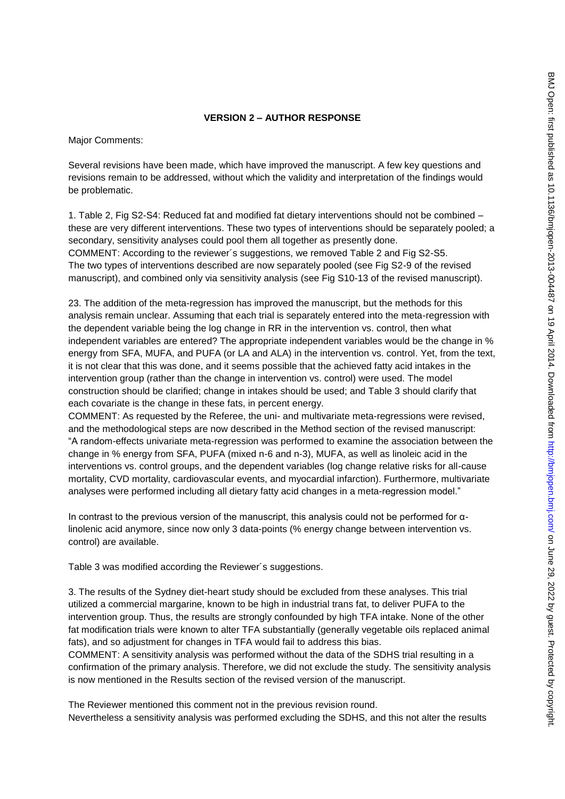#### **VERSION 2 – AUTHOR RESPONSE**

Major Comments:

Several revisions have been made, which have improved the manuscript. A few key questions and revisions remain to be addressed, without which the validity and interpretation of the findings would be problematic.

1. Table 2, Fig S2-S4: Reduced fat and modified fat dietary interventions should not be combined – these are very different interventions. These two types of interventions should be separately pooled; a secondary, sensitivity analyses could pool them all together as presently done. COMMENT: According to the reviewer´s suggestions, we removed Table 2 and Fig S2-S5. The two types of interventions described are now separately pooled (see Fig S2-9 of the revised manuscript), and combined only via sensitivity analysis (see Fig S10-13 of the revised manuscript).

23. The addition of the meta-regression has improved the manuscript, but the methods for this analysis remain unclear. Assuming that each trial is separately entered into the meta-regression with the dependent variable being the log change in RR in the intervention vs. control, then what independent variables are entered? The appropriate independent variables would be the change in % energy from SFA, MUFA, and PUFA (or LA and ALA) in the intervention vs. control. Yet, from the text, it is not clear that this was done, and it seems possible that the achieved fatty acid intakes in the intervention group (rather than the change in intervention vs. control) were used. The model construction should be clarified; change in intakes should be used; and Table 3 should clarify that each covariate is the change in these fats, in percent energy.

COMMENT: As requested by the Referee, the uni- and multivariate meta-regressions were revised, and the methodological steps are now described in the Method section of the revised manuscript: "A random-effects univariate meta-regression was performed to examine the association between the change in % energy from SFA, PUFA (mixed n-6 and n-3), MUFA, as well as linoleic acid in the interventions vs. control groups, and the dependent variables (log change relative risks for all-cause mortality, CVD mortality, cardiovascular events, and myocardial infarction). Furthermore, multivariate analyses were performed including all dietary fatty acid changes in a meta-regression model."

In contrast to the previous version of the manuscript, this analysis could not be performed for αlinolenic acid anymore, since now only 3 data-points (% energy change between intervention vs. control) are available.

Table 3 was modified according the Reviewer´s suggestions.

3. The results of the Sydney diet-heart study should be excluded from these analyses. This trial utilized a commercial margarine, known to be high in industrial trans fat, to deliver PUFA to the intervention group. Thus, the results are strongly confounded by high TFA intake. None of the other fat modification trials were known to alter TFA substantially (generally vegetable oils replaced animal fats), and so adjustment for changes in TFA would fail to address this bias.

COMMENT: A sensitivity analysis was performed without the data of the SDHS trial resulting in a confirmation of the primary analysis. Therefore, we did not exclude the study. The sensitivity analysis is now mentioned in the Results section of the revised version of the manuscript.

The Reviewer mentioned this comment not in the previous revision round. Nevertheless a sensitivity analysis was performed excluding the SDHS, and this not alter the results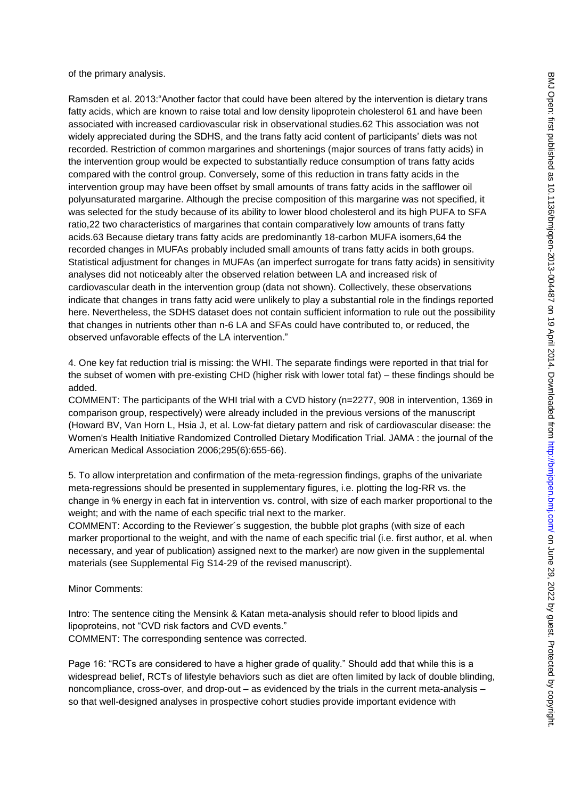of the primary analysis.

Ramsden et al. 2013:"Another factor that could have been altered by the intervention is dietary trans fatty acids, which are known to raise total and low density lipoprotein cholesterol 61 and have been associated with increased cardiovascular risk in observational studies.62 This association was not widely appreciated during the SDHS, and the trans fatty acid content of participants" diets was not recorded. Restriction of common margarines and shortenings (major sources of trans fatty acids) in the intervention group would be expected to substantially reduce consumption of trans fatty acids compared with the control group. Conversely, some of this reduction in trans fatty acids in the intervention group may have been offset by small amounts of trans fatty acids in the safflower oil polyunsaturated margarine. Although the precise composition of this margarine was not specified, it was selected for the study because of its ability to lower blood cholesterol and its high PUFA to SFA ratio,22 two characteristics of margarines that contain comparatively low amounts of trans fatty acids.63 Because dietary trans fatty acids are predominantly 18-carbon MUFA isomers,64 the recorded changes in MUFAs probably included small amounts of trans fatty acids in both groups. Statistical adjustment for changes in MUFAs (an imperfect surrogate for trans fatty acids) in sensitivity analyses did not noticeably alter the observed relation between LA and increased risk of cardiovascular death in the intervention group (data not shown). Collectively, these observations indicate that changes in trans fatty acid were unlikely to play a substantial role in the findings reported here. Nevertheless, the SDHS dataset does not contain sufficient information to rule out the possibility that changes in nutrients other than n-6 LA and SFAs could have contributed to, or reduced, the observed unfavorable effects of the LA intervention."

4. One key fat reduction trial is missing: the WHI. The separate findings were reported in that trial for the subset of women with pre-existing CHD (higher risk with lower total fat) – these findings should be added.

COMMENT: The participants of the WHI trial with a CVD history (n=2277, 908 in intervention, 1369 in comparison group, respectively) were already included in the previous versions of the manuscript (Howard BV, Van Horn L, Hsia J, et al. Low-fat dietary pattern and risk of cardiovascular disease: the Women's Health Initiative Randomized Controlled Dietary Modification Trial. JAMA : the journal of the American Medical Association 2006;295(6):655-66).

5. To allow interpretation and confirmation of the meta-regression findings, graphs of the univariate meta-regressions should be presented in supplementary figures, i.e. plotting the log-RR vs. the change in % energy in each fat in intervention vs. control, with size of each marker proportional to the weight; and with the name of each specific trial next to the marker.

COMMENT: According to the Reviewer´s suggestion, the bubble plot graphs (with size of each marker proportional to the weight, and with the name of each specific trial (i.e. first author, et al. when necessary, and year of publication) assigned next to the marker) are now given in the supplemental materials (see Supplemental Fig S14-29 of the revised manuscript).

Minor Comments:

Intro: The sentence citing the Mensink & Katan meta-analysis should refer to blood lipids and lipoproteins, not "CVD risk factors and CVD events." COMMENT: The corresponding sentence was corrected.

Page 16: "RCTs are considered to have a higher grade of quality." Should add that while this is a widespread belief, RCTs of lifestyle behaviors such as diet are often limited by lack of double blinding, noncompliance, cross-over, and drop-out – as evidenced by the trials in the current meta-analysis – so that well-designed analyses in prospective cohort studies provide important evidence with